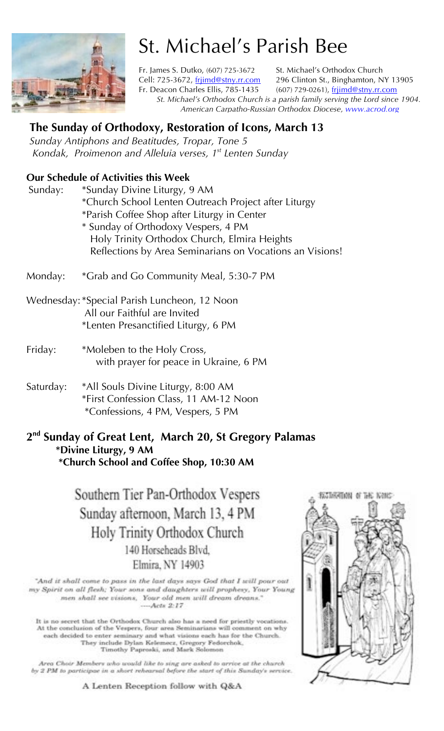

# St. Michael's Parish Bee

Fr. James S. Dutko, (607) 725-3672 St. Michael's Orthodox Church Cell: 725-3672, frjimd@stny.rr.com 296 Clinton St., Binghamton, NY 13905 Fr. Deacon Charles Ellis, 785-1435 (607) 729-0261), frijmd@stny.rr.com *St. Michael's Orthodox Church is a parish family serving the Lord since 1904. American Carpatho-Russian Orthodox Diocese, www.acrod.org*

# **The Sunday of Orthodoxy, Restoration of Icons, March 13**

*Sunday Antiphons and Beatitudes, Tropar, Tone 5 Kondak, Proimenon and Alleluia verses, 1st Lenten Sunday* 

### **Our Schedule of Activities this Week**

| Sunday: | *Sunday Divine Liturgy, 9 AM                             |
|---------|----------------------------------------------------------|
|         | *Church School Lenten Outreach Project after Liturgy     |
|         | *Parish Coffee Shop after Liturgy in Center              |
|         | * Sunday of Orthodoxy Vespers, 4 PM                      |
|         | Holy Trinity Orthodox Church, Elmira Heights             |
|         | Reflections by Area Seminarians on Vocations an Visions! |
|         |                                                          |

Monday: \*Grab and Go Community Meal, 5:30-7 PM

Wednesday: \*Special Parish Luncheon, 12 Noon All our Faithful are Invited \*Lenten Presanctified Liturgy, 6 PM

- Friday: \*Moleben to the Holy Cross, with prayer for peace in Ukraine, 6 PM
- Saturday: \*All Souls Divine Liturgy, 8:00 AM \*First Confession Class, 11 AM-12 Noon \*Confessions, 4 PM, Vespers, 5 PM

#### **2nd Sunday of Great Lent, March 20, St Gregory Palamas \*Divine Liturgy, 9 AM \*Church School and Coffee Shop, 10:30 AM**

Southern Tier Pan-Orthodox Vespers Sunday afternoon, March 13, 4 PM Holy Trinity Orthodox Church 140 Horseheads Blvd. Elmira, NY 14903

"And it shall come to pass in the last days says God that I will pour out my Spirit on all flesh; Your sons and daughters will prophesy, Your Young men shall see visions, Your old men will dream dreans."  $-Acts$  2:17

It is no secret that the Orthodox Church also has a need for priestly vocations. At the conclusion of the Vespers, four area Seminarians will comment on why each decided to enter seminary and what visions each has for the Church. They include Dylan Kelemecz, Gregory Fedorchok, Timothy Paproski, and Mark Solomon

Area Choir Members who would like to sing are asked to arrive at the church by 2 PM to participae in a short rehearsal before the start of this Sunday's service.

A Lenten Reception follow with Q&A

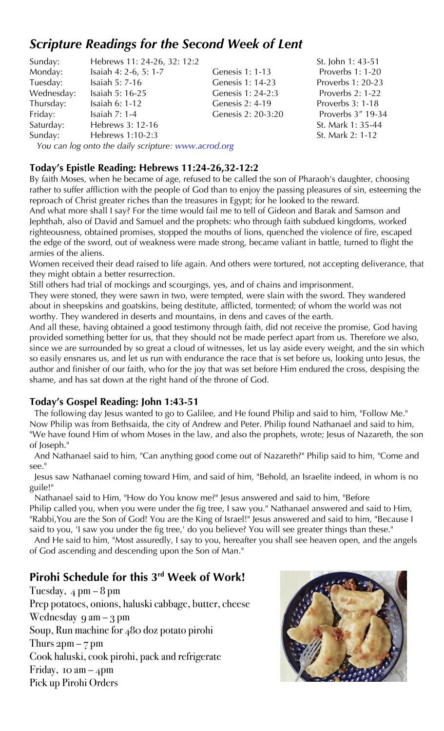# *Scripture Readings for the Second Week of Lent*

| Sunday:    | Hebrews 11: 24-26, 32: 12:2 |                    |
|------------|-----------------------------|--------------------|
| Monday:    | Isaiah 4: 2-6, 5: 1-7       | Genesis 1: 1-13    |
| Tuesday:   | Isaiah 5: 7-16              | Genesis 1: 14-23   |
| Wednesday: | Isaiah 5: 16-25             | Genesis 1: 24-2:3  |
| Thursday:  | Isaiah 6: 1-12              | Genesis 2: 4-19    |
| Friday:    | Isaiah $7:1-4$              | Genesis 2: 20-3:20 |
| Saturday:  | Hebrews 3: 12-16            |                    |
| Sunday:    | Hebrews 1:10-2:3            |                    |
|            |                             |                    |

St. John 1: 43-51 Proverbs 1: 1-20 Proverbs 1: 20-23 Proverbs 2: 1-22 Proverbs 3: 1-18 0 Proverbs 3<sup>"</sup> 19-34 St. Mark 1: 35-44 St. Mark 2: 1-12

*You can log onto the daily scripture: www.acrod.org* 

#### **Today's Epistle Reading: Hebrews 11:24-26,32-12:2**

By faith Moses, when he became of age, refused to be called the son of Pharaoh's daughter, choosing rather to suffer affliction with the people of God than to enjoy the passing pleasures of sin, esteeming the reproach of Christ greater riches than the treasures in Egypt; for he looked to the reward.

And what more shall I say? For the time would fail me to tell of Gideon and Barak and Samson and Jephthah, also of David and Samuel and the prophets: who through faith subdued kingdoms, worked righteousness, obtained promises, stopped the mouths of lions, quenched the violence of fire, escaped the edge of the sword, out of weakness were made strong, became valiant in battle, turned to flight the armies of the aliens.

Women received their dead raised to life again. And others were tortured, not accepting deliverance, that they might obtain a better resurrection.

Still others had trial of mockings and scourgings, yes, and of chains and imprisonment.

They were stoned, they were sawn in two, were tempted, were slain with the sword. They wandered about in sheepskins and goatskins, being destitute, afflicted, tormented; of whom the world was not worthy. They wandered in deserts and mountains, in dens and caves of the earth.

And all these, having obtained a good testimony through faith, did not receive the promise, God having provided something better for us, that they should not be made perfect apart from us. Therefore we also, since we are surrounded by so great a cloud of witnesses, let us lay aside every weight, and the sin which so easily ensnares us, and let us run with endurance the race that is set before us, looking unto Jesus, the author and finisher of our faith, who for the joy that was set before Him endured the cross, despising the shame, and has sat down at the right hand of the throne of God.

#### **Today's Gospel Reading: John 1:43-51**

 The following day Jesus wanted to go to Galilee, and He found Philip and said to him, "Follow Me." Now Philip was from Bethsaida, the city of Andrew and Peter. Philip found Nathanael and said to him, "We have found Him of whom Moses in the law, and also the prophets, wrote; Jesus of Nazareth, the son of Joseph."

 And Nathanael said to him, "Can anything good come out of Nazareth?" Philip said to him, "Come and see."

 Jesus saw Nathanael coming toward Him, and said of him, "Behold, an Israelite indeed, in whom is no guile!"

 Nathanael said to Him, "How do You know me?" Jesus answered and said to him, "Before Philip called you, when you were under the fig tree, I saw you." Nathanael answered and said to Him, "Rabbi,You are the Son of God! You are the King of Israel!" Jesus answered and said to him, "Because I said to you, 'I saw you under the fig tree,' do you believe? You will see greater things than these."

 And He said to him, "Most assuredly, I say to you, hereafter you shall see heaven open, and the angels of God ascending and descending upon the Son of Man."

# **Pirohi Schedule for this 3rd Week of Work!**

Tuesday,  $4 \text{ pm} - 8 \text{ pm}$ Prep potatoes, onions, haluski cabbage, butter, cheese Wednesday 9 am  $-$  3 pm Soup, Run machine for 480 doz potato pirohi Thurs  $2pm - 7$  pm Cook haluski, cook pirohi, pack and refrigerate Friday, 10 am  $-4$ pm Pick up Pirohi Orders

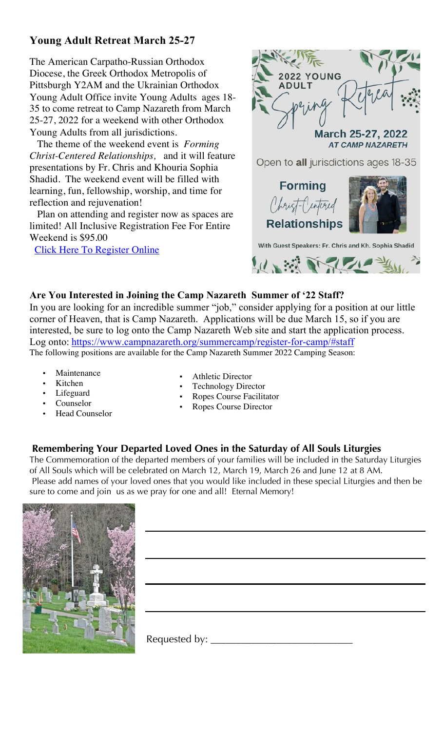## **Young Adult Retreat March 25-27**

The American Carpatho-Russian Orthodox Diocese, the Greek Orthodox Metropolis of Pittsburgh Y2AM and the Ukrainian Orthodox Young Adult Office invite Young Adults ages 18- 35 to come retreat to Camp Nazareth from March 25-27, 2022 for a weekend with other Orthodox Young Adults from all jurisdictions.

 The theme of the weekend event is *Forming Christ-Centered Relationships,* and it will feature presentations by Fr. Chris and Khouria Sophia Shadid. The weekend event will be filled with learning, fun, fellowship, worship, and time for reflection and rejuvenation!

 Plan on attending and register now as spaces are limited! All Inclusive Registration Fee For Entire Weekend is \$95.00

Click Here To Register Online



Open to all jurisdictions ages 18-35





With Guest Speakers: Fr. Chris and Kh. Sophia Shadid ※ いんしょ

#### **Are You Interested in Joining the Camp Nazareth Summer of '22 Staff?**

In you are looking for an incredible summer "job," consider applying for a position at our little corner of Heaven, that is Camp Nazareth. Applications will be due March 15, so if you are interested, be sure to log onto the Camp Nazareth Web site and start the application process. Log onto: https://www.campnazareth.org/summercamp/register-for-camp/#staff The following positions are available for the Camp Nazareth Summer 2022 Camping Season:

- **Maintenance**
- Kitchen
- Lifeguard
- Counselor
- Head Counselor
- Athletic Director
- Technology Director
- Ropes Course Facilitator
- Ropes Course Director

#### **Remembering Your Departed Loved Ones in the Saturday of All Souls Liturgies**

The Commemoration of the departed members of your families will be included in the Saturday Liturgies of All Souls which will be celebrated on March 12, March 19, March 26 and June 12 at 8 AM. Please add names of your loved ones that you would like included in these special Liturgies and then be sure to come and join us as we pray for one and all! Eternal Memory!



Requested by: \_\_\_\_\_\_\_\_\_\_\_\_\_\_\_\_\_\_\_\_\_\_\_\_\_\_\_\_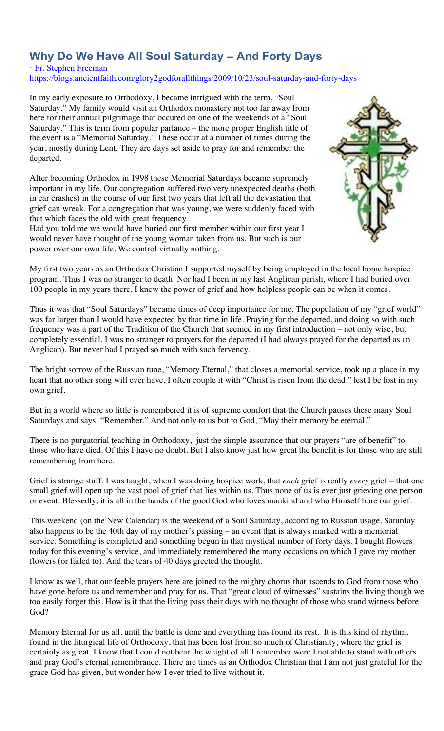## **Why Do We Have All Soul Saturday – And Forty Days**

· Fr. Stephen Freeman

https://blogs.ancientfaith.com/glory2godforallthings/2009/10/23/soul-saturday-and-forty-days

In my early exposure to Orthodoxy, I became intrigued with the term, "Soul Saturday." My family would visit an Orthodox monastery not too far away from here for their annual pilgrimage that occured on one of the weekends of a "Soul Saturday." This is term from popular parlance – the more proper English title of the event is a "Memorial Saturday." These occur at a number of times during the year, mostly during Lent. They are days set aside to pray for and remember the departed.

After becoming Orthodox in 1998 these Memorial Saturdays became supremely important in my life. Our congregation suffered two very unexpected deaths (both in car crashes) in the course of our first two years that left all the devastation that grief can wreak. For a congregation that was young, we were suddenly faced with that which faces the old with great frequency.

Had you told me we would have buried our first member within our first year I would never have thought of the young woman taken from us. But such is our power over our own life. We control virtually nothing.



My first two years as an Orthodox Christian I supported myself by being employed in the local home hospice program. Thus I was no stranger to death. Nor had I been in my last Anglican parish, where I had buried over 100 people in my years there. I knew the power of grief and how helpless people can be when it comes.

Thus it was that "Soul Saturdays" became times of deep importance for me. The population of my "grief world" was far larger than I would have expected by that time in life. Praying for the departed, and doing so with such frequency was a part of the Tradition of the Church that seemed in my first introduction – not only wise, but completely essential. I was no stranger to prayers for the departed (I had always prayed for the departed as an Anglican). But never had I prayed so much with such fervency.

The bright sorrow of the Russian tune, "Memory Eternal," that closes a memorial service, took up a place in my heart that no other song will ever have. I often couple it with "Christ is risen from the dead," lest I be lost in my own grief.

But in a world where so little is remembered it is of supreme comfort that the Church pauses these many Soul Saturdays and says: "Remember." And not only to us but to God, "May their memory be eternal."

There is no purgatorial teaching in Orthodoxy, just the simple assurance that our prayers "are of benefit" to those who have died. Of this I have no doubt. But I also know just how great the benefit is for those who are still remembering from here.

Grief is strange stuff. I was taught, when I was doing hospice work, that *each* grief is really *every* grief – that one small grief will open up the vast pool of grief that lies within us. Thus none of us is ever just grieving one person or event. Blessedly, it is all in the hands of the good God who loves mankind and who Himself bore our grief.

This weekend (on the New Calendar) is the weekend of a Soul Saturday, according to Russian usage. Saturday also happens to be the 40th day of my mother's passing – an event that is always marked with a memorial service. Something is completed and something begun in that mystical number of forty days. I bought flowers today for this evening's service, and immediately remembered the many occasions on which I gave my mother flowers (or failed to). And the tears of 40 days greeted the thought.

I know as well, that our feeble prayers here are joined to the mighty chorus that ascends to God from those who have gone before us and remember and pray for us. That "great cloud of witnesses" sustains the living though we too easily forget this. How is it that the living pass their days with no thought of those who stand witness before God?

Memory Eternal for us all, until the battle is done and everything has found its rest. It is this kind of rhythm, found in the liturgical life of Orthodoxy, that has been lost from so much of Christianity, where the grief is certainly as great. I know that I could not bear the weight of all I remember were I not able to stand with others and pray God's eternal remembrance. There are times as an Orthodox Christian that I am not just grateful for the grace God has given, but wonder how I ever tried to live without it.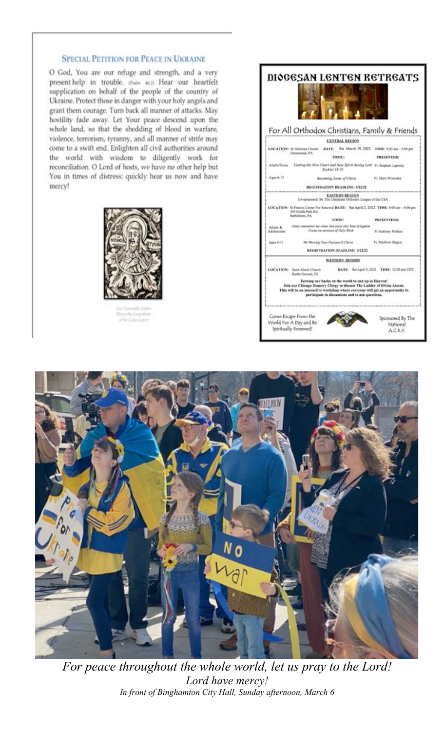#### **SPECIAL PETITION FOR PEACE IN UKRAINE**

O God, You are our refuge and strength, and a very present help in trouble. (Pulm 461) Hear our heartfelt supplication on behalf of the people of the country of Ukraine. Protect those in danger with your holy angels and grant them courage. Turn back all manner of attacks. May hostility fade away. Let Your peace descend upon the whole land, so that the shedding of blood in warfare, violence, terrorism, tyranny, and all manner of strife may come to a swift end. Enlighten all civil authorities around the world with wisdom to diligently work for reconciliation. O Lord of hosts, we have no other help but You in times of distress: quickly hear us now and have mercy!



Moor the Coputhia<br>of the Cates Lacre





*For peace throughout the whole world, let us pray to the Lord! Lord have mercy! In front of Binghamton City Hall, Sunday afternoon, March 6*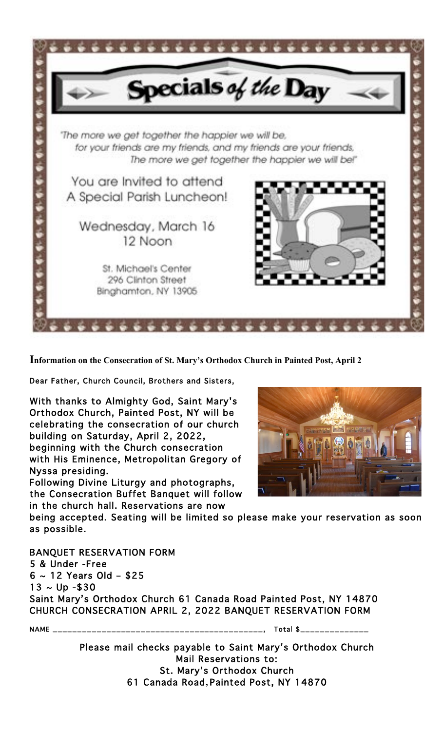

**Information on the Consecration of St. Mary's Orthodox Church in Painted Post, April 2**

Dear Father, Church Council, Brothers and Sisters,

With thanks to Almighty God, Saint Mary's Orthodox Church, Painted Post, NY will be celebrating the consecration of our church building on Saturday, April 2, 2022, beginning with the Church consecration with His Eminence, Metropolitan Gregory of Nyssa presiding.

Following Divine Liturgy and photographs, the Consecration Buffet Banquet will follow in the church hall. Reservations are now



being accepted. Seating will be limited so please make your reservation as soon as possible.

BANQUET RESERVATION FORM 5 & Under -Free 6 ~ 12 Years Old – \$25  $13 \sim Up - $30$ Saint Mary's Orthodox Church 61 Canada Road Painted Post, NY 14870 CHURCH CONSECRATION APRIL 2, 2022 BANQUET RESERVATION FORM

NAME \_\_\_\_\_\_\_\_\_\_\_\_\_\_\_\_\_\_\_\_\_\_\_\_\_\_\_\_\_\_\_\_\_\_\_\_\_\_\_\_\_\_\_, Total \$\_\_\_\_\_\_\_\_\_\_\_\_\_\_

Please mail checks payable to Saint Mary's Orthodox Church Mail Reservations to: St. Mary's Orthodox Church 61 Canada Road**,** Painted Post, NY 14870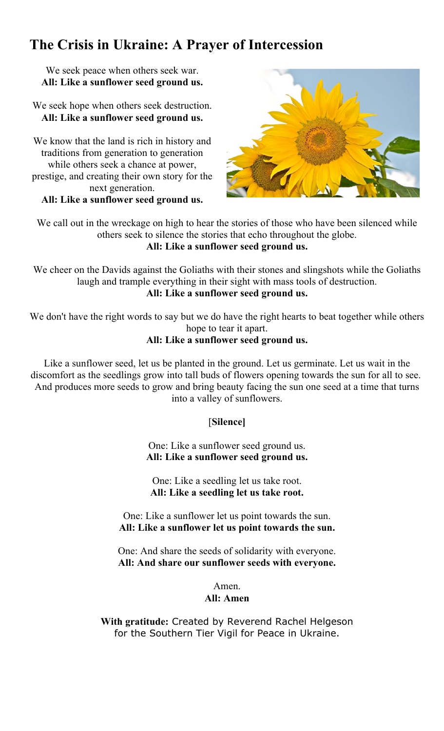# **The Crisis in Ukraine: A Prayer of Intercession**

We seek peace when others seek war. **All: Like a sunflower seed ground us.**

We seek hope when others seek destruction. **All: Like a sunflower seed ground us.**

We know that the land is rich in history and traditions from generation to generation while others seek a chance at power, prestige, and creating their own story for the next generation.

**All: Like a sunflower seed ground us.**



We call out in the wreckage on high to hear the stories of those who have been silenced while others seek to silence the stories that echo throughout the globe. **All: Like a sunflower seed ground us.**

We cheer on the Davids against the Goliaths with their stones and slingshots while the Goliaths laugh and trample everything in their sight with mass tools of destruction. **All: Like a sunflower seed ground us.**

We don't have the right words to say but we do have the right hearts to beat together while others hope to tear it apart.

#### **All: Like a sunflower seed ground us.**

Like a sunflower seed, let us be planted in the ground. Let us germinate. Let us wait in the discomfort as the seedlings grow into tall buds of flowers opening towards the sun for all to see. And produces more seeds to grow and bring beauty facing the sun one seed at a time that turns into a valley of sunflowers.

[**Silence]**

One: Like a sunflower seed ground us. **All: Like a sunflower seed ground us.**

One: Like a seedling let us take root. **All: Like a seedling let us take root.**

One: Like a sunflower let us point towards the sun. **All: Like a sunflower let us point towards the sun.**

One: And share the seeds of solidarity with everyone. **All: And share our sunflower seeds with everyone.** 

Amen.

#### **All: Amen**

**With gratitude:** Created by Reverend Rachel Helgeson for the Southern Tier Vigil for Peace in Ukraine.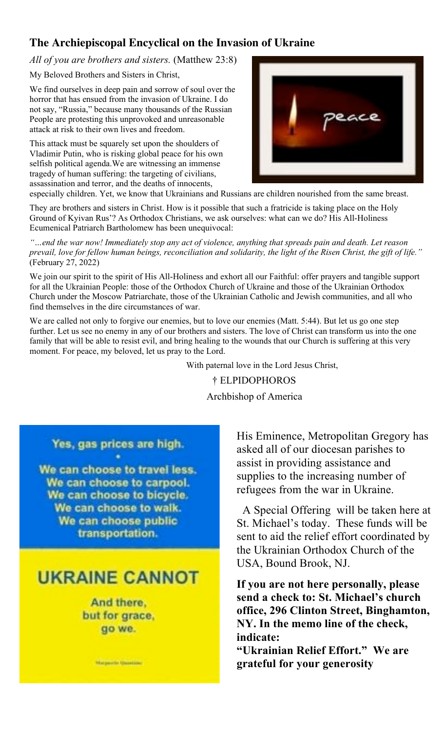### **The Archiepiscopal Encyclical on the Invasion of Ukraine**

*All of you are brothers and sisters.* (Matthew 23:8)

My Beloved Brothers and Sisters in Christ,

We find ourselves in deep pain and sorrow of soul over the horror that has ensued from the invasion of Ukraine. I do not say, "Russia," because many thousands of the Russian People are protesting this unprovoked and unreasonable attack at risk to their own lives and freedom.

This attack must be squarely set upon the shoulders of Vladimir Putin, who is risking global peace for his own selfish political agenda.We are witnessing an immense tragedy of human suffering: the targeting of civilians, assassination and terror, and the deaths of innocents,



especially children. Yet, we know that Ukrainians and Russians are children nourished from the same breast.

They are brothers and sisters in Christ. How is it possible that such a fratricide is taking place on the Holy Ground of Kyivan Rus'? As Orthodox Christians, we ask ourselves: what can we do? His All-Holiness Ecumenical Patriarch Bartholomew has been unequivocal:

*"…end the war now! Immediately stop any act of violence, anything that spreads pain and death. Let reason prevail, love for fellow human beings, reconciliation and solidarity, the light of the Risen Christ, the gift of life."*  (February 27, 2022)

We join our spirit to the spirit of His All-Holiness and exhort all our Faithful: offer prayers and tangible support for all the Ukrainian People: those of the Orthodox Church of Ukraine and those of the Ukrainian Orthodox Church under the Moscow Patriarchate, those of the Ukrainian Catholic and Jewish communities, and all who find themselves in the dire circumstances of war.

We are called not only to forgive our enemies, but to love our enemies (Matt. 5:44). But let us go one step further. Let us see no enemy in any of our brothers and sisters. The love of Christ can transform us into the one family that will be able to resist evil, and bring healing to the wounds that our Church is suffering at this very moment. For peace, my beloved, let us pray to the Lord.

> With paternal love in the Lord Jesus Christ, † ELPIDOPHOROS Archbishop of America

Yes, gas prices are high.

We can choose to travel less. We can choose to carpool. We can choose to bicycle. We can choose to walk. We can choose public transportation.

# **UKRAINE CANNOT**

And there, but for grace, go we.

**Margarette Quantity** 

His Eminence, Metropolitan Gregory has asked all of our diocesan parishes to assist in providing assistance and supplies to the increasing number of refugees from the war in Ukraine.

 A Special Offering will be taken here at St. Michael's today. These funds will be sent to aid the relief effort coordinated by the Ukrainian Orthodox Church of the USA, Bound Brook, NJ.

**If you are not here personally, please send a check to: St. Michael's church office, 296 Clinton Street, Binghamton, NY. In the memo line of the check, indicate:** 

**"Ukrainian Relief Effort." We are grateful for your generosity**